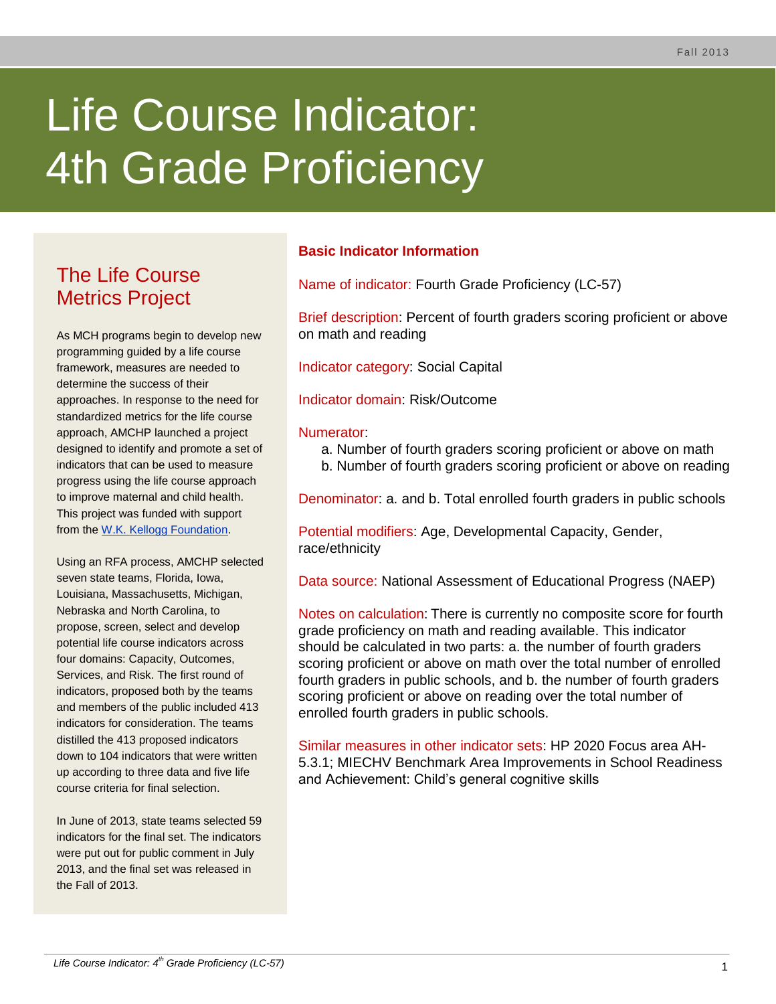# Life Course Indicator: **4th Grade Proficiency**

# The Life Course Metrics Project

As MCH programs begin to develop new programming guided by a life course framework, measures are needed to determine the success of their approaches. In response to the need for standardized metrics for the life course approach, AMCHP launched a project designed to identify and promote a set of indicators that can be used to measure progress using the life course approach to improve maternal and child health. This project was funded with support from the [W.K. Kellogg Foundation.](http://www.wkkf.org/)

Using an RFA process, AMCHP selected seven state teams, Florida, Iowa, Louisiana, Massachusetts, Michigan, Nebraska and North Carolina, to propose, screen, select and develop potential life course indicators across four domains: Capacity, Outcomes, Services, and Risk. The first round of indicators, proposed both by the teams and members of the public included 413 indicators for consideration. The teams distilled the 413 proposed indicators down to 104 indicators that were written up according to three data and five life course criteria for final selection.

In June of 2013, state teams selected 59 indicators for the final set. The indicators were put out for public comment in July 2013, and the final set was released in the Fall of 2013.

# **Basic Indicator Information**

Name of indicator: Fourth Grade Proficiency (LC-57)

Brief description: Percent of fourth graders scoring proficient or above on math and reading

Indicator category: Social Capital

Indicator domain: Risk/Outcome

#### Numerator:

- a. Number of fourth graders scoring proficient or above on math
- b. Number of fourth graders scoring proficient or above on reading

Denominator: a. and b. Total enrolled fourth graders in public schools

Potential modifiers: Age, Developmental Capacity, Gender, race/ethnicity

Data source: National Assessment of Educational Progress (NAEP)

Notes on calculation: There is currently no composite score for fourth grade proficiency on math and reading available. This indicator should be calculated in two parts: a. the number of fourth graders scoring proficient or above on math over the total number of enrolled fourth graders in public schools, and b. the number of fourth graders scoring proficient or above on reading over the total number of enrolled fourth graders in public schools.

Similar measures in other indicator sets: HP 2020 Focus area AH-5.3.1; MIECHV Benchmark Area Improvements in School Readiness and Achievement: Child's general cognitive skills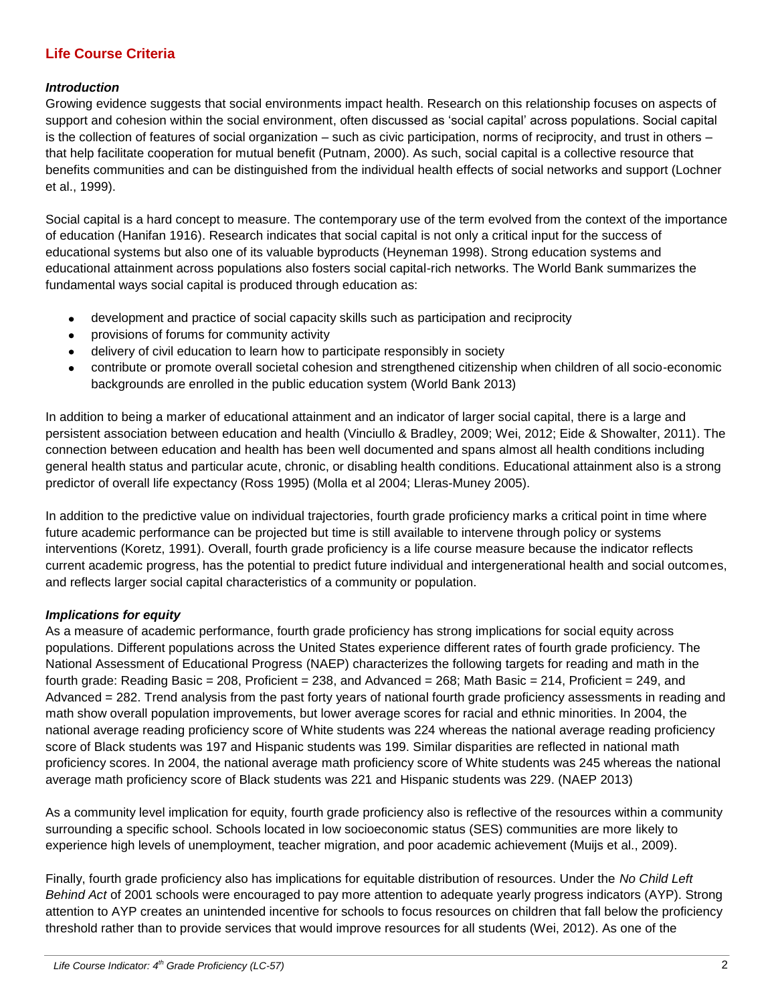# **Life Course Criteria**

#### *Introduction*

Growing evidence suggests that social environments impact health. Research on this relationship focuses on aspects of support and cohesion within the social environment, often discussed as 'social capital' across populations. Social capital is the collection of features of social organization – such as civic participation, norms of reciprocity, and trust in others – that help facilitate cooperation for mutual benefit (Putnam, 2000). As such, social capital is a collective resource that benefits communities and can be distinguished from the individual health effects of social networks and support (Lochner et al., 1999).

Social capital is a hard concept to measure. The contemporary use of the term evolved from the context of the importance of education (Hanifan 1916). Research indicates that social capital is not only a critical input for the success of educational systems but also one of its valuable byproducts (Heyneman 1998). Strong education systems and educational attainment across populations also fosters social capital-rich networks. The World Bank summarizes the fundamental ways social capital is produced through education as:

- $\bullet$ development and practice of social capacity skills such as participation and reciprocity
- provisions of forums for community activity
- delivery of civil education to learn how to participate responsibly in society
- contribute or promote overall societal cohesion and strengthened citizenship when children of all socio-economic backgrounds are enrolled in the public education system (World Bank 2013)

In addition to being a marker of educational attainment and an indicator of larger social capital, there is a large and persistent association between education and health (Vinciullo & Bradley, 2009; Wei, 2012; Eide & Showalter, 2011). The connection between education and health has been well documented and spans almost all health conditions including general health status and particular acute, chronic, or disabling health conditions. Educational attainment also is a strong predictor of overall life expectancy (Ross 1995) (Molla et al 2004; Lleras-Muney 2005).

In addition to the predictive value on individual trajectories, fourth grade proficiency marks a critical point in time where future academic performance can be projected but time is still available to intervene through policy or systems interventions (Koretz, 1991). Overall, fourth grade proficiency is a life course measure because the indicator reflects current academic progress, has the potential to predict future individual and intergenerational health and social outcomes, and reflects larger social capital characteristics of a community or population.

# *Implications for equity*

As a measure of academic performance, fourth grade proficiency has strong implications for social equity across populations. Different populations across the United States experience different rates of fourth grade proficiency. The National Assessment of Educational Progress (NAEP) characterizes the following targets for reading and math in the fourth grade: Reading Basic = 208, Proficient = 238, and Advanced = 268; Math Basic = 214, Proficient = 249, and Advanced = 282. Trend analysis from the past forty years of national fourth grade proficiency assessments in reading and math show overall population improvements, but lower average scores for racial and ethnic minorities. In 2004, the national average reading proficiency score of White students was 224 whereas the national average reading proficiency score of Black students was 197 and Hispanic students was 199. Similar disparities are reflected in national math proficiency scores. In 2004, the national average math proficiency score of White students was 245 whereas the national average math proficiency score of Black students was 221 and Hispanic students was 229. (NAEP 2013)

As a community level implication for equity, fourth grade proficiency also is reflective of the resources within a community surrounding a specific school. Schools located in low socioeconomic status (SES) communities are more likely to experience high levels of unemployment, teacher migration, and poor academic achievement (Muijs et al., 2009).

Finally, fourth grade proficiency also has implications for equitable distribution of resources. Under the *No Child Left Behind Act* of 2001 schools were encouraged to pay more attention to adequate yearly progress indicators (AYP). Strong attention to AYP creates an unintended incentive for schools to focus resources on children that fall below the proficiency threshold rather than to provide services that would improve resources for all students (Wei, 2012). As one of the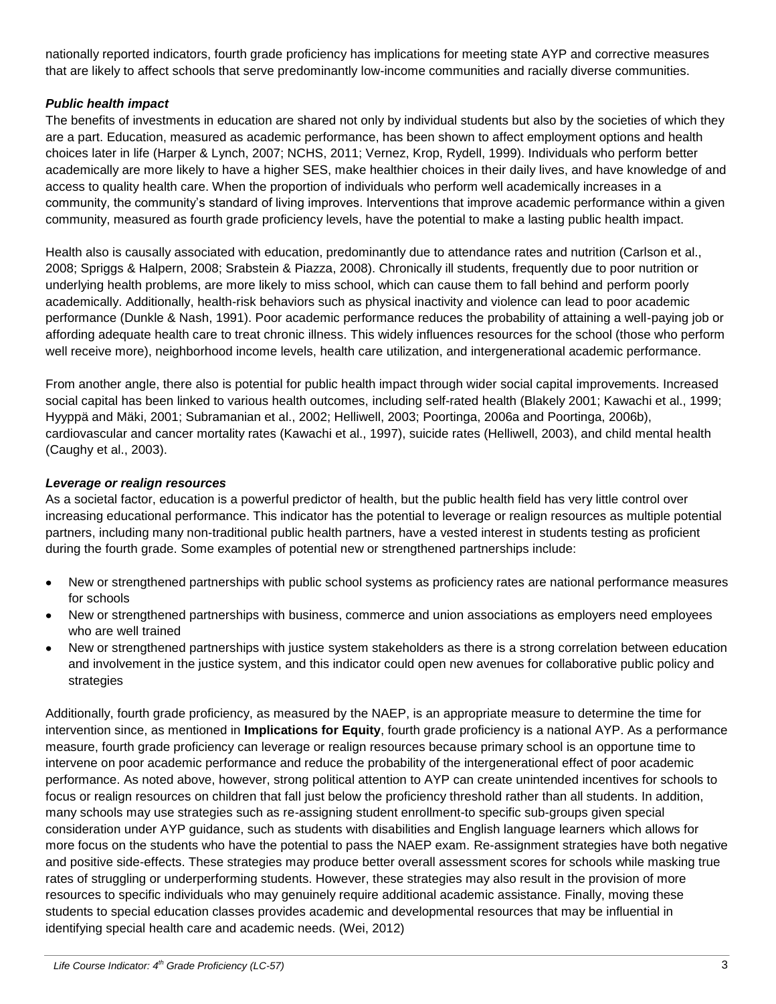nationally reported indicators, fourth grade proficiency has implications for meeting state AYP and corrective measures that are likely to affect schools that serve predominantly low-income communities and racially diverse communities.

#### *Public health impact*

The benefits of investments in education are shared not only by individual students but also by the societies of which they are a part. Education, measured as academic performance, has been shown to affect employment options and health choices later in life (Harper & Lynch, 2007; NCHS, 2011; Vernez, Krop, Rydell, 1999). Individuals who perform better academically are more likely to have a higher SES, make healthier choices in their daily lives, and have knowledge of and access to quality health care. When the proportion of individuals who perform well academically increases in a community, the community's standard of living improves. Interventions that improve academic performance within a given community, measured as fourth grade proficiency levels, have the potential to make a lasting public health impact.

Health also is causally associated with education, predominantly due to attendance rates and nutrition (Carlson et al., 2008; Spriggs & Halpern, 2008; Srabstein & Piazza, 2008). Chronically ill students, frequently due to poor nutrition or underlying health problems, are more likely to miss school, which can cause them to fall behind and perform poorly academically. Additionally, health-risk behaviors such as physical inactivity and violence can lead to poor academic performance (Dunkle & Nash, 1991). Poor academic performance reduces the probability of attaining a well-paying job or affording adequate health care to treat chronic illness. This widely influences resources for the school (those who perform well receive more), neighborhood income levels, health care utilization, and intergenerational academic performance.

From another angle, there also is potential for public health impact through wider social capital improvements. Increased social capital has been linked to various health outcomes, including self-rated health (Blakely 2001; Kawachi et al., 1999; Hyyppä and Mäki, 2001; Subramanian et al., 2002; Helliwell, 2003; Poortinga, 2006a and Poortinga, 2006b), cardiovascular and cancer mortality rates (Kawachi et al., 1997), suicide rates (Helliwell, 2003), and child mental health (Caughy et al., 2003).

#### *Leverage or realign resources*

As a societal factor, education is a powerful predictor of health, but the public health field has very little control over increasing educational performance. This indicator has the potential to leverage or realign resources as multiple potential partners, including many non-traditional public health partners, have a vested interest in students testing as proficient during the fourth grade. Some examples of potential new or strengthened partnerships include:

- $\bullet$ New or strengthened partnerships with public school systems as proficiency rates are national performance measures for schools
- New or strengthened partnerships with business, commerce and union associations as employers need employees who are well trained
- New or strengthened partnerships with justice system stakeholders as there is a strong correlation between education  $\bullet$ and involvement in the justice system, and this indicator could open new avenues for collaborative public policy and strategies

Additionally, fourth grade proficiency, as measured by the NAEP, is an appropriate measure to determine the time for intervention since, as mentioned in **Implications for Equity**, fourth grade proficiency is a national AYP. As a performance measure, fourth grade proficiency can leverage or realign resources because primary school is an opportune time to intervene on poor academic performance and reduce the probability of the intergenerational effect of poor academic performance. As noted above, however, strong political attention to AYP can create unintended incentives for schools to focus or realign resources on children that fall just below the proficiency threshold rather than all students. In addition, many schools may use strategies such as re-assigning student enrollment-to specific sub-groups given special consideration under AYP guidance, such as students with disabilities and English language learners which allows for more focus on the students who have the potential to pass the NAEP exam. Re-assignment strategies have both negative and positive side-effects. These strategies may produce better overall assessment scores for schools while masking true rates of struggling or underperforming students. However, these strategies may also result in the provision of more resources to specific individuals who may genuinely require additional academic assistance. Finally, moving these students to special education classes provides academic and developmental resources that may be influential in identifying special health care and academic needs. (Wei, 2012)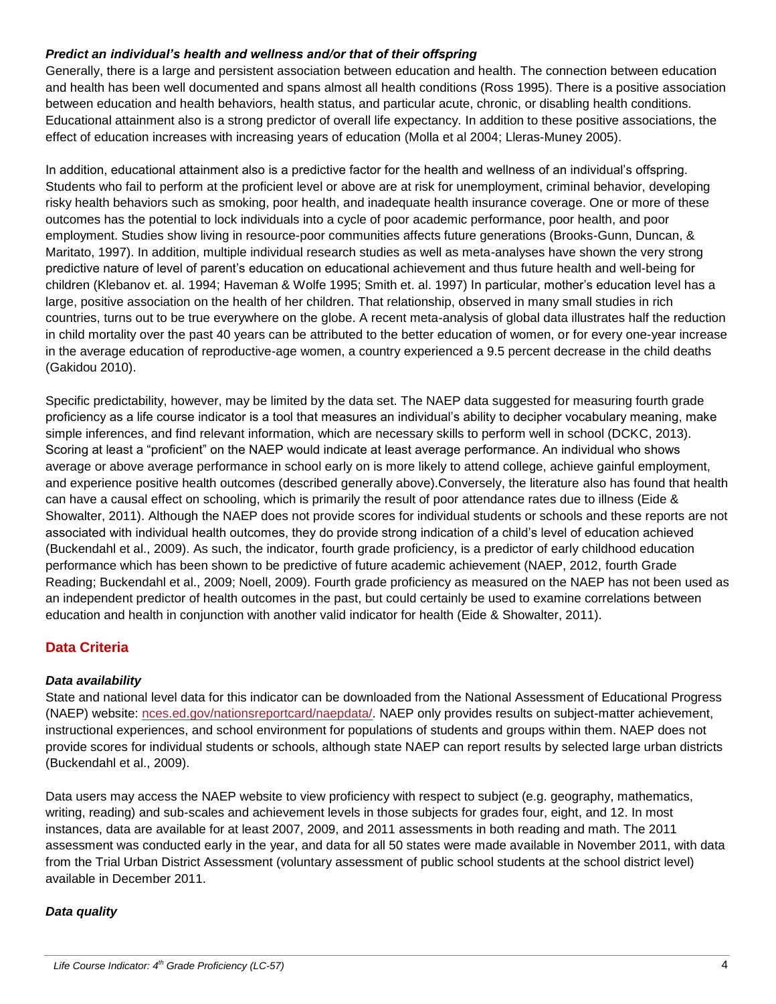#### *Predict an individual's health and wellness and/or that of their offspring*

Generally, there is a large and persistent association between education and health. The connection between education and health has been well documented and spans almost all health conditions (Ross 1995). There is a positive association between education and health behaviors, health status, and particular acute, chronic, or disabling health conditions. Educational attainment also is a strong predictor of overall life expectancy. In addition to these positive associations, the effect of education increases with increasing years of education (Molla et al 2004; Lleras-Muney 2005).

In addition, educational attainment also is a predictive factor for the health and wellness of an individual's offspring. Students who fail to perform at the proficient level or above are at risk for unemployment, criminal behavior, developing risky health behaviors such as smoking, poor health, and inadequate health insurance coverage. One or more of these outcomes has the potential to lock individuals into a cycle of poor academic performance, poor health, and poor employment. Studies show living in resource-poor communities affects future generations (Brooks-Gunn, Duncan, & Maritato, 1997). In addition, multiple individual research studies as well as meta-analyses have shown the very strong predictive nature of level of parent's education on educational achievement and thus future health and well-being for children (Klebanov et. al. 1994; Haveman & Wolfe 1995; Smith et. al. 1997) In particular, mother's education level has a large, positive association on the health of her children. That relationship, observed in many small studies in rich countries, turns out to be true everywhere on the globe. A recent meta-analysis of global data illustrates half the reduction in child mortality over the past 40 years can be attributed to the better education of women, or for every one-year increase in the average education of reproductive-age women, a country experienced a 9.5 percent decrease in the child deaths (Gakidou 2010).

Specific predictability, however, may be limited by the data set. The NAEP data suggested for measuring fourth grade proficiency as a life course indicator is a tool that measures an individual's ability to decipher vocabulary meaning, make simple inferences, and find relevant information, which are necessary skills to perform well in school (DCKC, 2013). Scoring at least a "proficient" on the NAEP would indicate at least average performance. An individual who shows average or above average performance in school early on is more likely to attend college, achieve gainful employment, and experience positive health outcomes (described generally above).Conversely, the literature also has found that health can have a causal effect on schooling, which is primarily the result of poor attendance rates due to illness (Eide & Showalter, 2011). Although the NAEP does not provide scores for individual students or schools and these reports are not associated with individual health outcomes, they do provide strong indication of a child's level of education achieved (Buckendahl et al., 2009). As such, the indicator, fourth grade proficiency, is a predictor of early childhood education performance which has been shown to be predictive of future academic achievement (NAEP, 2012, fourth Grade Reading; Buckendahl et al., 2009; Noell, 2009). Fourth grade proficiency as measured on the NAEP has not been used as an independent predictor of health outcomes in the past, but could certainly be used to examine correlations between education and health in conjunction with another valid indicator for health (Eide & Showalter, 2011).

# **Data Criteria**

#### *Data availability*

State and national level data for this indicator can be downloaded from the National Assessment of Educational Progress (NAEP) website: [nces.ed.gov/nationsreportcard/naepdata/.](http://nces.ed.gov/nationsreportcard/naepdata/) NAEP only provides results on subject-matter achievement, instructional experiences, and school environment for populations of students and groups within them. NAEP does not provide scores for individual students or schools, although state NAEP can report results by selected large urban districts (Buckendahl et al., 2009).

Data users may access the NAEP website to view proficiency with respect to subject (e.g. geography, mathematics, writing, reading) and sub-scales and achievement levels in those subjects for grades four, eight, and 12. In most instances, data are available for at least 2007, 2009, and 2011 assessments in both reading and math. The 2011 assessment was conducted early in the year, and data for all 50 states were made available in November 2011, with data from the Trial Urban District Assessment (voluntary assessment of public school students at the school district level) available in December 2011.

# *Data quality*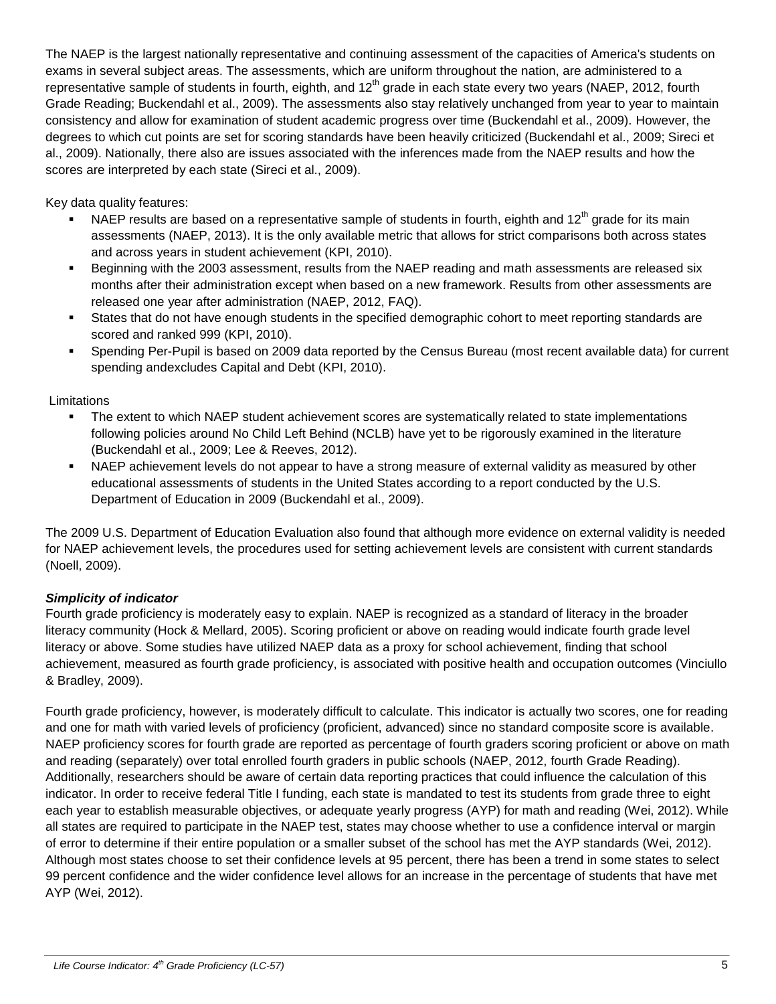The NAEP is the largest nationally representative and continuing assessment of the capacities of America's students on exams in several subject areas. The assessments, which are uniform throughout the nation, are administered to a representative sample of students in fourth, eighth, and 12<sup>th</sup> grade in each state every two years (NAEP, 2012, fourth Grade Reading; Buckendahl et al., 2009). The assessments also stay relatively unchanged from year to year to maintain consistency and allow for examination of student academic progress over time (Buckendahl et al., 2009). However, the degrees to which cut points are set for scoring standards have been heavily criticized (Buckendahl et al., 2009; Sireci et al., 2009). Nationally, there also are issues associated with the inferences made from the NAEP results and how the scores are interpreted by each state (Sireci et al., 2009).

Key data quality features:

- NAEP results are based on a representative sample of students in fourth, eighth and  $12<sup>th</sup>$  grade for its main assessments (NAEP, 2013). It is the only available metric that allows for strict comparisons both across states and across years in student achievement (KPI, 2010).
- Beginning with the 2003 assessment, results from the NAEP reading and math assessments are released six months after their administration except when based on a new framework. Results from other assessments are released one year after administration (NAEP, 2012, FAQ).
- States that do not have enough students in the specified demographic cohort to meet reporting standards are scored and ranked 999 (KPI, 2010).
- Spending Per-Pupil is based on 2009 data reported by the Census Bureau (most recent available data) for current spending andexcludes Capital and Debt (KPI, 2010).

**Limitations** 

- The extent to which NAEP student achievement scores are systematically related to state implementations following policies around No Child Left Behind (NCLB) have yet to be rigorously examined in the literature (Buckendahl et al., 2009; Lee & Reeves, 2012).
- NAEP achievement levels do not appear to have a strong measure of external validity as measured by other educational assessments of students in the United States according to a report conducted by the U.S. Department of Education in 2009 (Buckendahl et al., 2009).

The 2009 U.S. Department of Education Evaluation also found that although more evidence on external validity is needed for NAEP achievement levels, the procedures used for setting achievement levels are consistent with current standards (Noell, 2009).

# *Simplicity of indicator*

Fourth grade proficiency is moderately easy to explain. NAEP is recognized as a standard of literacy in the broader literacy community (Hock & Mellard, 2005). Scoring proficient or above on reading would indicate fourth grade level literacy or above. Some studies have utilized NAEP data as a proxy for school achievement, finding that school achievement, measured as fourth grade proficiency, is associated with positive health and occupation outcomes (Vinciullo & Bradley, 2009).

Fourth grade proficiency, however, is moderately difficult to calculate. This indicator is actually two scores, one for reading and one for math with varied levels of proficiency (proficient, advanced) since no standard composite score is available. NAEP proficiency scores for fourth grade are reported as percentage of fourth graders scoring proficient or above on math and reading (separately) over total enrolled fourth graders in public schools (NAEP, 2012, fourth Grade Reading). Additionally, researchers should be aware of certain data reporting practices that could influence the calculation of this indicator. In order to receive federal Title I funding, each state is mandated to test its students from grade three to eight each year to establish measurable objectives, or adequate yearly progress (AYP) for math and reading (Wei, 2012). While all states are required to participate in the NAEP test, states may choose whether to use a confidence interval or margin of error to determine if their entire population or a smaller subset of the school has met the AYP standards (Wei, 2012). Although most states choose to set their confidence levels at 95 percent, there has been a trend in some states to select 99 percent confidence and the wider confidence level allows for an increase in the percentage of students that have met AYP (Wei, 2012).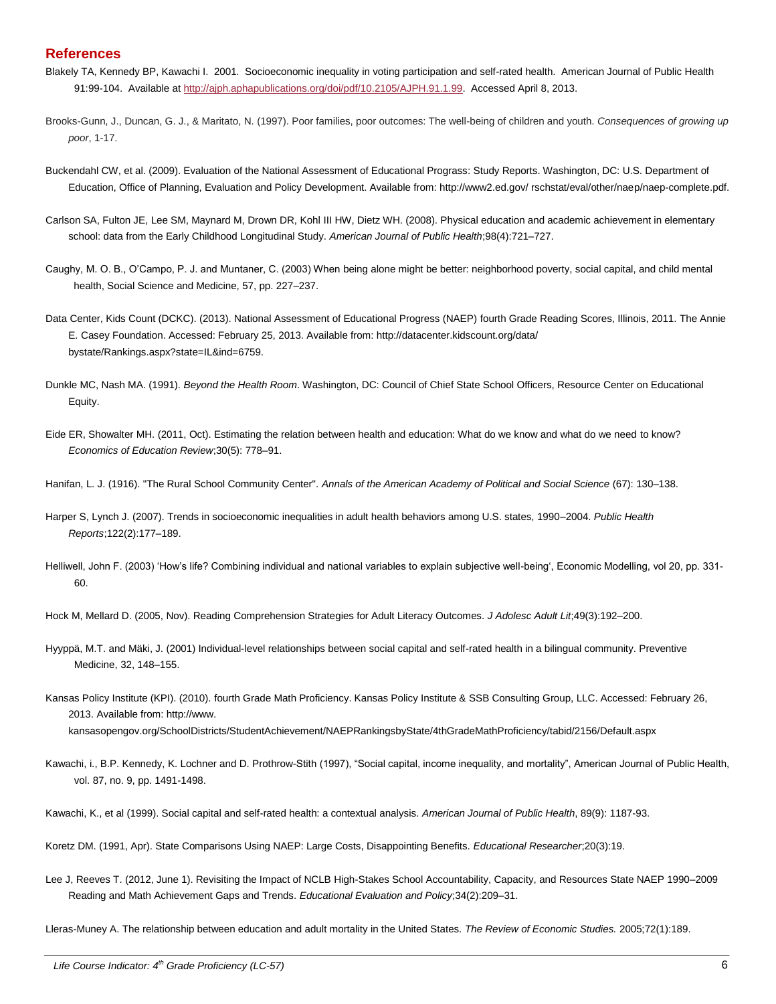#### **References**

- Blakely TA, Kennedy BP, Kawachi I. 2001. Socioeconomic inequality in voting participation and self-rated health. American Journal of Public Health 91:99-104. Available at [http://ajph.aphapublications.org/doi/pdf/10.2105/AJPH.91.1.99.](http://ajph.aphapublications.org/doi/pdf/10.2105/AJPH.91.1.99) Accessed April 8, 2013.
- Brooks-Gunn, J., Duncan, G. J., & Maritato, N. (1997). Poor families, poor outcomes: The well-being of children and youth. *Consequences of growing up poor*, 1-17.
- Buckendahl CW, et al. (2009). Evaluation of the National Assessment of Educational Prograss: Study Reports. Washington, DC: U.S. Department of Education, Office of Planning, Evaluation and Policy Development. Available from: http://www2.ed.gov/ rschstat/eval/other/naep/naep-complete.pdf.
- Carlson SA, Fulton JE, Lee SM, Maynard M, Drown DR, Kohl III HW, Dietz WH. (2008). Physical education and academic achievement in elementary school: data from the Early Childhood Longitudinal Study. *American Journal of Public Health*;98(4):721–727.
- Caughy, M. O. B., O'Campo, P. J. and Muntaner, C. (2003) When being alone might be better: neighborhood poverty, social capital, and child mental health, Social Science and Medicine, 57, pp. 227–237.
- Data Center, Kids Count (DCKC). (2013). National Assessment of Educational Progress (NAEP) fourth Grade Reading Scores, Illinois, 2011. The Annie E. Casey Foundation. Accessed: February 25, 2013. Available from: http://datacenter.kidscount.org/data/ bystate/Rankings.aspx?state=IL&ind=6759.
- Dunkle MC, Nash MA. (1991). *Beyond the Health Room*. Washington, DC: Council of Chief State School Officers, Resource Center on Educational Equity.
- Eide ER, Showalter MH. (2011, Oct). Estimating the relation between health and education: What do we know and what do we need to know? *Economics of Education Review*;30(5): 778–91.
- Hanifan, L. J. (1916). "The Rural School Community Center". *Annals of the American Academy of Political and Social Science* (67): 130–138.
- Harper S, Lynch J. (2007). Trends in socioeconomic inequalities in adult health behaviors among U.S. states, 1990–2004. *Public Health Reports*;122(2):177–189.
- Helliwell, John F. (2003) 'How's life? Combining individual and national variables to explain subjective well-being', Economic Modelling, vol 20, pp. 331- 60.

Hock M, Mellard D. (2005, Nov). Reading Comprehension Strategies for Adult Literacy Outcomes. *J Adolesc Adult Lit*;49(3):192–200.

- Hyyppä, M.T. and Mäki, J. (2001) Individual-level relationships between social capital and self-rated health in a bilingual community. Preventive Medicine, 32, 148–155.
- Kansas Policy Institute (KPI). (2010). fourth Grade Math Proficiency. Kansas Policy Institute & SSB Consulting Group, LLC. Accessed: February 26, 2013. Available from: http://www.

kansasopengov.org/SchoolDistricts/StudentAchievement/NAEPRankingsbyState/4thGradeMathProficiency/tabid/2156/Default.aspx

- Kawachi, i., B.P. Kennedy, K. Lochner and D. Prothrow-Stith (1997), "Social capital, income inequality, and mortality", American Journal of Public Health, vol. 87, no. 9, pp. 1491-1498.
- Kawachi, K., et al (1999). Social capital and self-rated health: a contextual analysis. *American Journal of Public Health*, 89(9): 1187-93.

Lee J, Reeves T. (2012, June 1). Revisiting the Impact of NCLB High-Stakes School Accountability, Capacity, and Resources State NAEP 1990–2009 Reading and Math Achievement Gaps and Trends. *Educational Evaluation and Policy*;34(2):209–31.

Lleras-Muney A. The relationship between education and adult mortality in the United States. *The Review of Economic Studies.* 2005;72(1):189.

Koretz DM. (1991, Apr). State Comparisons Using NAEP: Large Costs, Disappointing Benefits. *Educational Researcher*;20(3):19.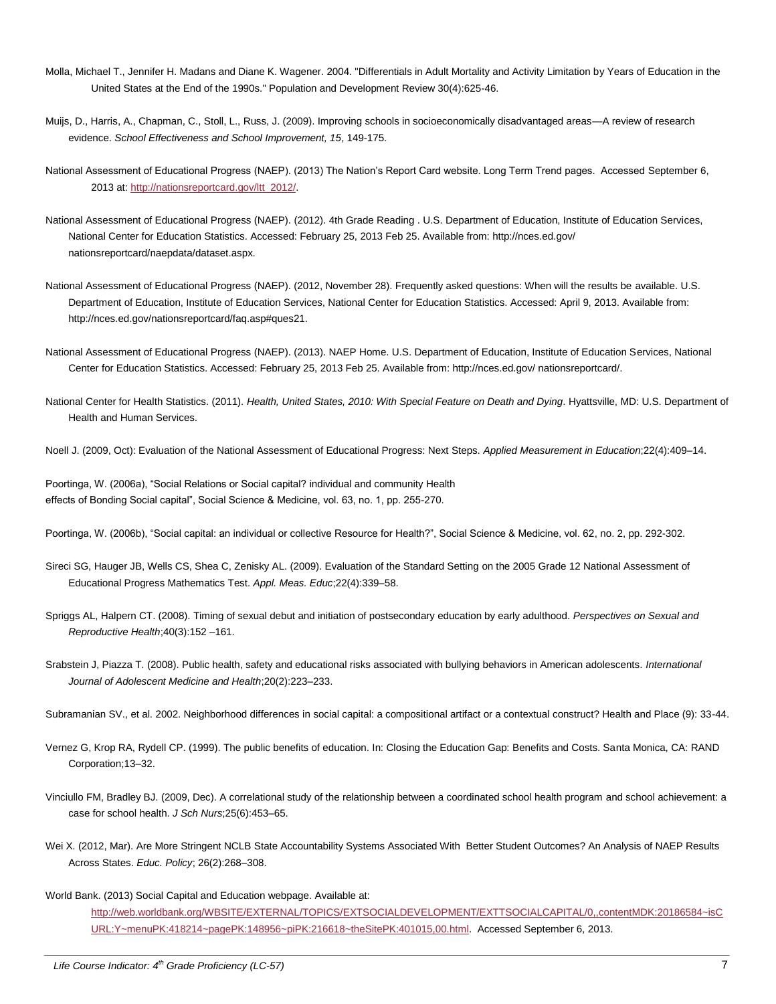- Molla, Michael T., Jennifer H. Madans and Diane K. Wagener. 2004. "Differentials in Adult Mortality and Activity Limitation by Years of Education in the United States at the End of the 1990s." Population and Development Review 30(4):625-46.
- Muijs, D., Harris, A., Chapman, C., Stoll, L., Russ, J. (2009). Improving schools in socioeconomically disadvantaged areas—A review of research evidence. *School Effectiveness and School Improvement, 15*, 149-175.
- National Assessment of Educational Progress (NAEP). (2013) The Nation's Report Card website. Long Term Trend pages. Accessed September 6, 2013 at[: http://nationsreportcard.gov/ltt\\_2012/.](http://nationsreportcard.gov/ltt_2012/)
- National Assessment of Educational Progress (NAEP). (2012). 4th Grade Reading . U.S. Department of Education, Institute of Education Services, National Center for Education Statistics. Accessed: February 25, 2013 Feb 25. Available from: http://nces.ed.gov/ nationsreportcard/naepdata/dataset.aspx.
- National Assessment of Educational Progress (NAEP). (2012, November 28). Frequently asked questions: When will the results be available. U.S. Department of Education, Institute of Education Services, National Center for Education Statistics. Accessed: April 9, 2013. Available from: http://nces.ed.gov/nationsreportcard/faq.asp#ques21.
- National Assessment of Educational Progress (NAEP). (2013). NAEP Home. U.S. Department of Education, Institute of Education Services, National Center for Education Statistics. Accessed: February 25, 2013 Feb 25. Available from: http://nces.ed.gov/ nationsreportcard/.
- National Center for Health Statistics. (2011). *Health, United States, 2010: With Special Feature on Death and Dying*. Hyattsville, MD: U.S. Department of Health and Human Services.
- Noell J. (2009, Oct): Evaluation of the National Assessment of Educational Progress: Next Steps. *Applied Measurement in Education*;22(4):409–14.

Poortinga, W. (2006a), "Social Relations or Social capital? individual and community Health effects of Bonding Social capital", Social Science & Medicine, vol. 63, no. 1, pp. 255-270.

Poortinga, W. (2006b), "Social capital: an individual or collective Resource for Health?", Social Science & Medicine, vol. 62, no. 2, pp. 292-302.

- Sireci SG, Hauger JB, Wells CS, Shea C, Zenisky AL. (2009). Evaluation of the Standard Setting on the 2005 Grade 12 National Assessment of Educational Progress Mathematics Test. *Appl. Meas. Educ*;22(4):339–58.
- Spriggs AL, Halpern CT. (2008). Timing of sexual debut and initiation of postsecondary education by early adulthood. *Perspectives on Sexual and Reproductive Health*;40(3):152 –161.
- Srabstein J, Piazza T. (2008). Public health, safety and educational risks associated with bullying behaviors in American adolescents. *International Journal of Adolescent Medicine and Health*;20(2):223–233.
- Subramanian SV., et al. 2002. Neighborhood differences in social capital: a compositional artifact or a contextual construct? Health and Place (9): 33-44.
- Vernez G, Krop RA, Rydell CP. (1999). The public benefits of education. In: Closing the Education Gap: Benefits and Costs. Santa Monica, CA: RAND Corporation;13–32.
- Vinciullo FM, Bradley BJ. (2009, Dec). A correlational study of the relationship between a coordinated school health program and school achievement: a case for school health. *J Sch Nurs*;25(6):453–65.
- Wei X. (2012, Mar). Are More Stringent NCLB State Accountability Systems Associated With Better Student Outcomes? An Analysis of NAEP Results Across States. *Educ. Policy*; 26(2):268–308.
- World Bank. (2013) Social Capital and Education webpage. Available at: [http://web.worldbank.org/WBSITE/EXTERNAL/TOPICS/EXTSOCIALDEVELOPMENT/EXTTSOCIALCAPITAL/0,,contentMDK:20186584~isC](http://web.worldbank.org/WBSITE/EXTERNAL/TOPICS/EXTSOCIALDEVELOPMENT/EXTTSOCIALCAPITAL/0,,contentMDK:20186584~isCURL:Y~menuPK:418214~pagePK:148956~piPK:216618~theSitePK:401015,00.html) [URL:Y~menuPK:418214~pagePK:148956~piPK:216618~theSitePK:401015,00.html.](http://web.worldbank.org/WBSITE/EXTERNAL/TOPICS/EXTSOCIALDEVELOPMENT/EXTTSOCIALCAPITAL/0,,contentMDK:20186584~isCURL:Y~menuPK:418214~pagePK:148956~piPK:216618~theSitePK:401015,00.html) Accessed September 6, 2013.